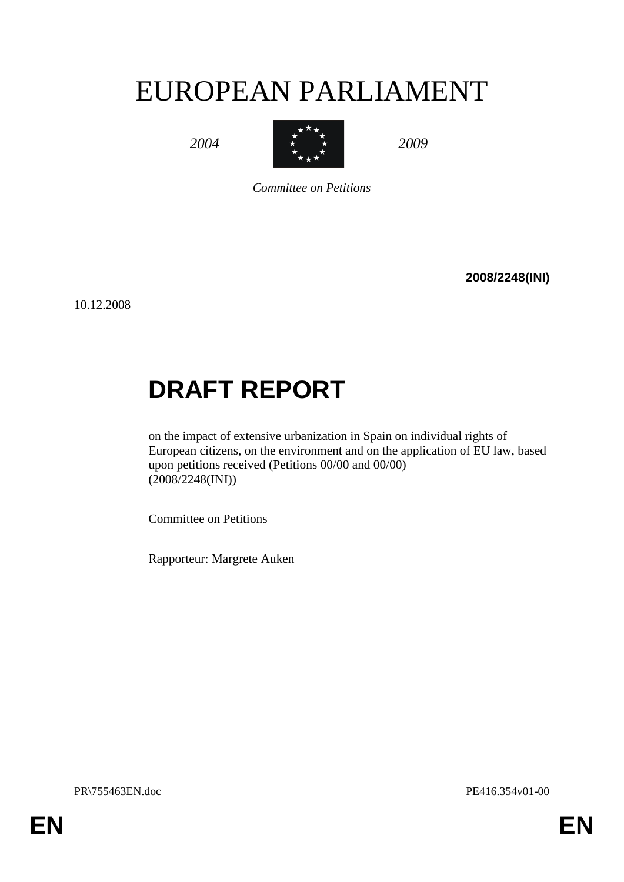# EUROPEAN PARLIAMENT

*2004*



*2009*

*Committee on Petitions*

**2008/2248(INI)**

10.12.2008

# **DRAFT REPORT**

on the impact of extensive urbanization in Spain on individual rights of European citizens, on the environment and on the application of EU law, based upon petitions received (Petitions 00/00 and 00/00) (2008/2248(INI))

Committee on Petitions

Rapporteur: Margrete Auken

PR\755463EN.doc PE416.354v01-00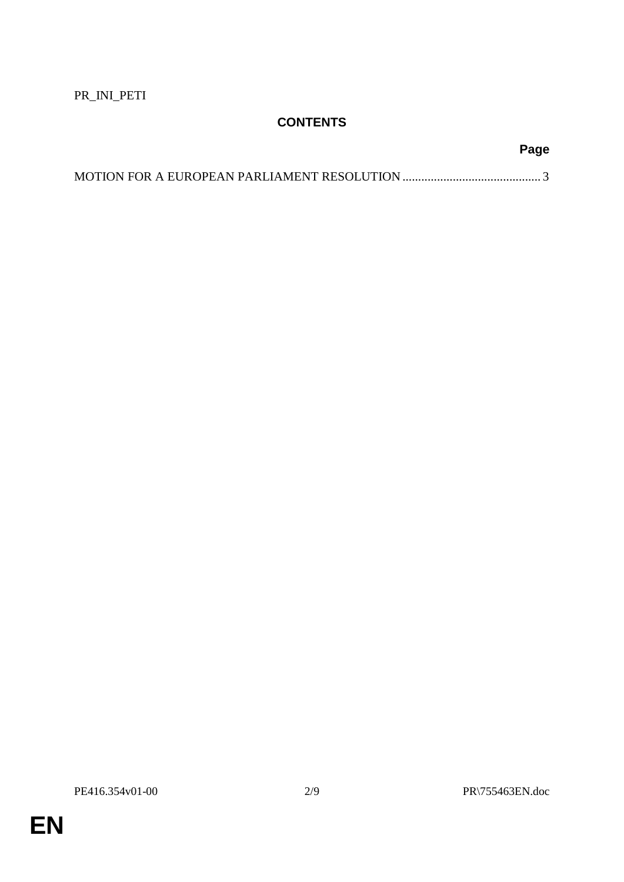PR\_INI\_PETI

## **CONTENTS**

## **Page**

**EN**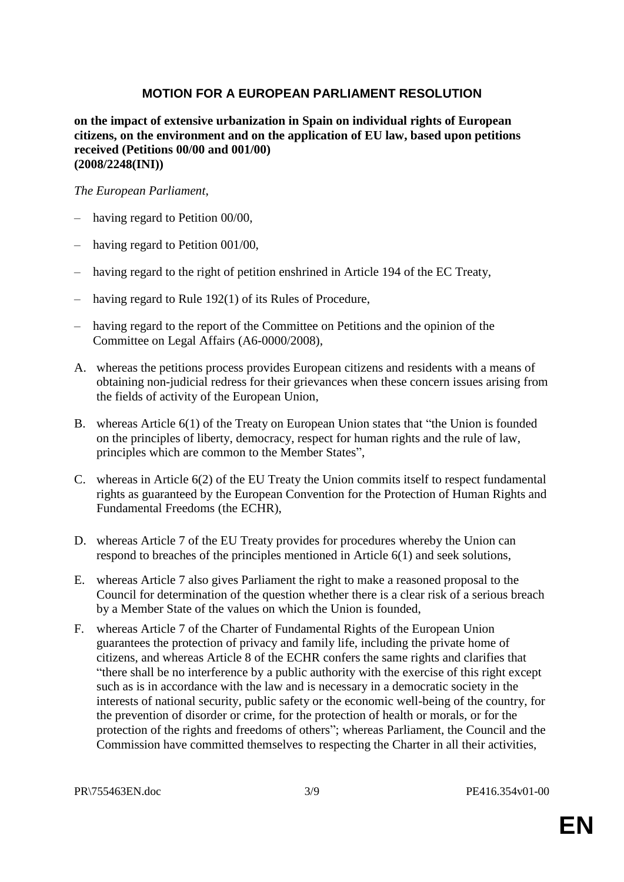### **MOTION FOR A EUROPEAN PARLIAMENT RESOLUTION**

### **on the impact of extensive urbanization in Spain on individual rights of European citizens, on the environment and on the application of EU law, based upon petitions received (Petitions 00/00 and 001/00) (2008/2248(INI))**

### *The European Parliament*,

- having regard to Petition 00/00,
- having regard to Petition 001/00,
- having regard to the right of petition enshrined in Article 194 of the EC Treaty,
- having regard to Rule 192(1) of its Rules of Procedure,
- having regard to the report of the Committee on Petitions and the opinion of the Committee on Legal Affairs (A6-0000/2008),
- A. whereas the petitions process provides European citizens and residents with a means of obtaining non-judicial redress for their grievances when these concern issues arising from the fields of activity of the European Union,
- B. whereas Article 6(1) of the Treaty on European Union states that "the Union is founded on the principles of liberty, democracy, respect for human rights and the rule of law, principles which are common to the Member States",
- C. whereas in Article 6(2) of the EU Treaty the Union commits itself to respect fundamental rights as guaranteed by the European Convention for the Protection of Human Rights and Fundamental Freedoms (the ECHR),
- D. whereas Article 7 of the EU Treaty provides for procedures whereby the Union can respond to breaches of the principles mentioned in Article 6(1) and seek solutions,
- E. whereas Article 7 also gives Parliament the right to make a reasoned proposal to the Council for determination of the question whether there is a clear risk of a serious breach by a Member State of the values on which the Union is founded,
- F. whereas Article 7 of the Charter of Fundamental Rights of the European Union guarantees the protection of privacy and family life, including the private home of citizens, and whereas Article 8 of the ECHR confers the same rights and clarifies that "there shall be no interference by a public authority with the exercise of this right except such as is in accordance with the law and is necessary in a democratic society in the interests of national security, public safety or the economic well-being of the country, for the prevention of disorder or crime, for the protection of health or morals, or for the protection of the rights and freedoms of others"; whereas Parliament, the Council and the Commission have committed themselves to respecting the Charter in all their activities,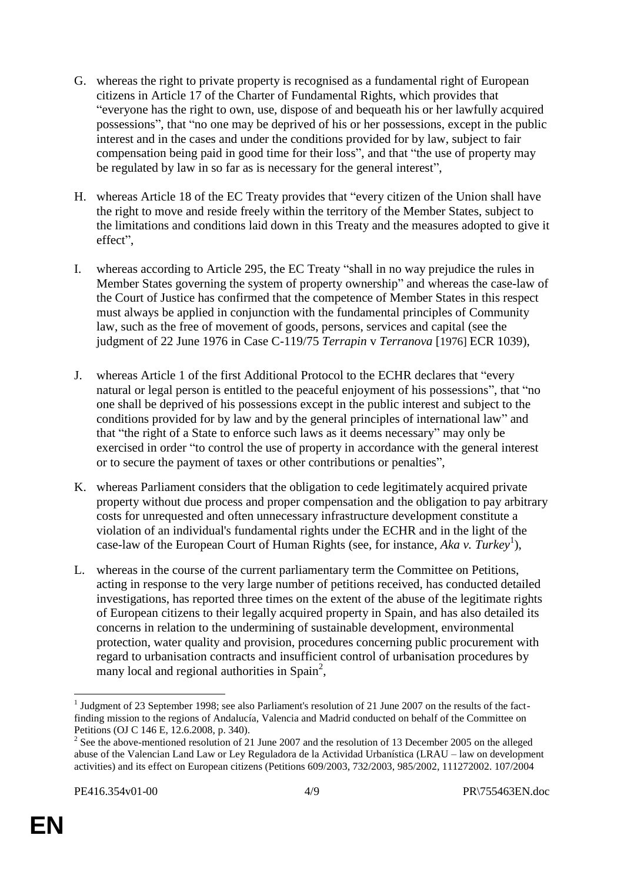- G. whereas the right to private property is recognised as a fundamental right of European citizens in Article 17 of the Charter of Fundamental Rights, which provides that "everyone has the right to own, use, dispose of and bequeath his or her lawfully acquired possessions", that "no one may be deprived of his or her possessions, except in the public interest and in the cases and under the conditions provided for by law, subject to fair compensation being paid in good time for their loss", and that "the use of property may be regulated by law in so far as is necessary for the general interest",
- H. whereas Article 18 of the EC Treaty provides that "every citizen of the Union shall have the right to move and reside freely within the territory of the Member States, subject to the limitations and conditions laid down in this Treaty and the measures adopted to give it effect",
- I. whereas according to Article 295, the EC Treaty "shall in no way prejudice the rules in Member States governing the system of property ownership" and whereas the case-law of the Court of Justice has confirmed that the competence of Member States in this respect must always be applied in conjunction with the fundamental principles of Community law, such as the free of movement of goods, persons, services and capital (see the judgment of 22 June 1976 in Case C-119/75 *Terrapin* v *Terranova* [1976] ECR 1039),
- J. whereas Article 1 of the first Additional Protocol to the ECHR declares that "every natural or legal person is entitled to the peaceful enjoyment of his possessions", that "no one shall be deprived of his possessions except in the public interest and subject to the conditions provided for by law and by the general principles of international law" and that "the right of a State to enforce such laws as it deems necessary" may only be exercised in order "to control the use of property in accordance with the general interest or to secure the payment of taxes or other contributions or penalties",
- K. whereas Parliament considers that the obligation to cede legitimately acquired private property without due process and proper compensation and the obligation to pay arbitrary costs for unrequested and often unnecessary infrastructure development constitute a violation of an individual's fundamental rights under the ECHR and in the light of the case-law of the European Court of Human Rights (see, for instance, *Aka v. Turkey*<sup>1</sup>),
- L. whereas in the course of the current parliamentary term the Committee on Petitions, acting in response to the very large number of petitions received, has conducted detailed investigations, has reported three times on the extent of the abuse of the legitimate rights of European citizens to their legally acquired property in Spain, and has also detailed its concerns in relation to the undermining of sustainable development, environmental protection, water quality and provision, procedures concerning public procurement with regard to urbanisation contracts and insufficient control of urbanisation procedures by many local and regional authorities in Spain<sup>2</sup>,

<sup>1</sup> <sup>1</sup> Judgment of 23 September 1998; see also Parliament's resolution of 21 June 2007 on the results of the factfinding mission to the regions of Andalucía, Valencia and Madrid conducted on behalf of the Committee on Petitions (OJ C 146 E, 12.6.2008, p. 340).

 $2^2$  See the above-mentioned resolution of 21 June 2007 and the resolution of 13 December 2005 on the alleged abuse of the Valencian Land Law or Ley Reguladora de la Actividad Urbanística (LRAU – law on development activities) and its effect on European citizens (Petitions 609/2003, 732/2003, 985/2002, 111272002. 107/2004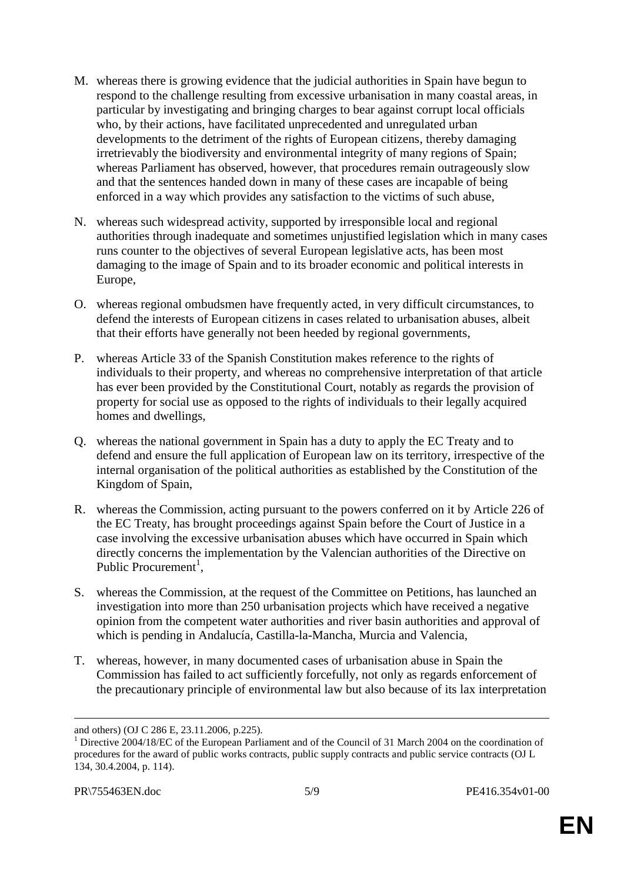- M. whereas there is growing evidence that the judicial authorities in Spain have begun to respond to the challenge resulting from excessive urbanisation in many coastal areas, in particular by investigating and bringing charges to bear against corrupt local officials who, by their actions, have facilitated unprecedented and unregulated urban developments to the detriment of the rights of European citizens, thereby damaging irretrievably the biodiversity and environmental integrity of many regions of Spain; whereas Parliament has observed, however, that procedures remain outrageously slow and that the sentences handed down in many of these cases are incapable of being enforced in a way which provides any satisfaction to the victims of such abuse,
- N. whereas such widespread activity, supported by irresponsible local and regional authorities through inadequate and sometimes unjustified legislation which in many cases runs counter to the objectives of several European legislative acts, has been most damaging to the image of Spain and to its broader economic and political interests in Europe,
- O. whereas regional ombudsmen have frequently acted, in very difficult circumstances, to defend the interests of European citizens in cases related to urbanisation abuses, albeit that their efforts have generally not been heeded by regional governments,
- P. whereas Article 33 of the Spanish Constitution makes reference to the rights of individuals to their property, and whereas no comprehensive interpretation of that article has ever been provided by the Constitutional Court, notably as regards the provision of property for social use as opposed to the rights of individuals to their legally acquired homes and dwellings,
- Q. whereas the national government in Spain has a duty to apply the EC Treaty and to defend and ensure the full application of European law on its territory, irrespective of the internal organisation of the political authorities as established by the Constitution of the Kingdom of Spain,
- R. whereas the Commission, acting pursuant to the powers conferred on it by Article 226 of the EC Treaty, has brought proceedings against Spain before the Court of Justice in a case involving the excessive urbanisation abuses which have occurred in Spain which directly concerns the implementation by the Valencian authorities of the Directive on Public Procurement<sup>1</sup>,
- S. whereas the Commission, at the request of the Committee on Petitions, has launched an investigation into more than 250 urbanisation projects which have received a negative opinion from the competent water authorities and river basin authorities and approval of which is pending in Andalucía, Castilla-la-Mancha, Murcia and Valencia,
- T. whereas, however, in many documented cases of urbanisation abuse in Spain the Commission has failed to act sufficiently forcefully, not only as regards enforcement of the precautionary principle of environmental law but also because of its lax interpretation

 $\overline{a}$ 

and others) (OJ C 286 E, 23.11.2006, p.225).

<sup>&</sup>lt;sup>1</sup> Directive 2004/18/EC of the European Parliament and of the Council of 31 March 2004 on the coordination of procedures for the award of public works contracts, public supply contracts and public service contracts (OJ L 134, 30.4.2004, p. 114).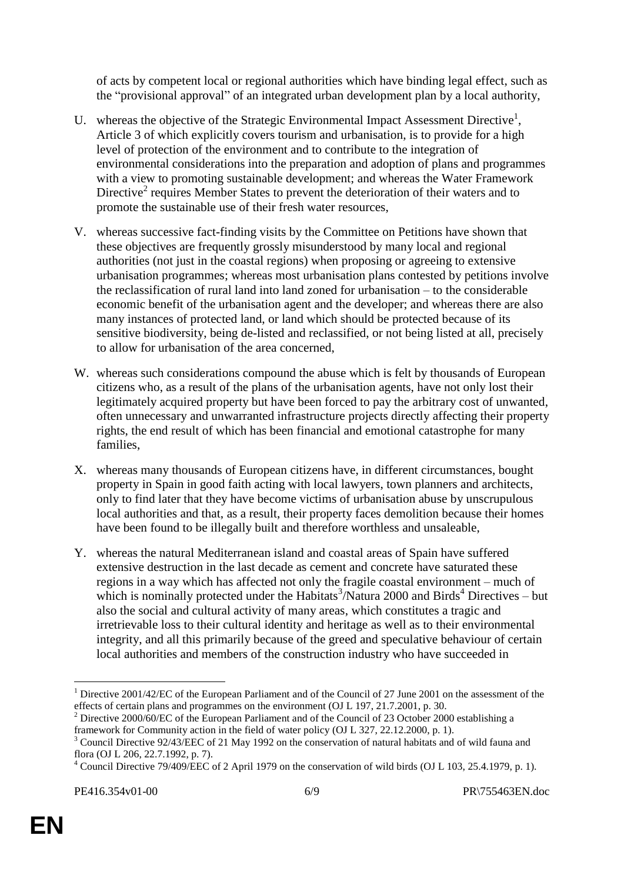of acts by competent local or regional authorities which have binding legal effect, such as the "provisional approval" of an integrated urban development plan by a local authority,

- U. whereas the objective of the Strategic Environmental Impact Assessment Directive<sup>1</sup>, Article 3 of which explicitly covers tourism and urbanisation, is to provide for a high level of protection of the environment and to contribute to the integration of environmental considerations into the preparation and adoption of plans and programmes with a view to promoting sustainable development; and whereas the Water Framework Directive<sup>2</sup> requires Member States to prevent the deterioration of their waters and to promote the sustainable use of their fresh water resources,
- V. whereas successive fact-finding visits by the Committee on Petitions have shown that these objectives are frequently grossly misunderstood by many local and regional authorities (not just in the coastal regions) when proposing or agreeing to extensive urbanisation programmes; whereas most urbanisation plans contested by petitions involve the reclassification of rural land into land zoned for urbanisation – to the considerable economic benefit of the urbanisation agent and the developer; and whereas there are also many instances of protected land, or land which should be protected because of its sensitive biodiversity, being de-listed and reclassified, or not being listed at all, precisely to allow for urbanisation of the area concerned,
- W. whereas such considerations compound the abuse which is felt by thousands of European citizens who, as a result of the plans of the urbanisation agents, have not only lost their legitimately acquired property but have been forced to pay the arbitrary cost of unwanted, often unnecessary and unwarranted infrastructure projects directly affecting their property rights, the end result of which has been financial and emotional catastrophe for many families,
- X. whereas many thousands of European citizens have, in different circumstances, bought property in Spain in good faith acting with local lawyers, town planners and architects, only to find later that they have become victims of urbanisation abuse by unscrupulous local authorities and that, as a result, their property faces demolition because their homes have been found to be illegally built and therefore worthless and unsaleable,
- Y. whereas the natural Mediterranean island and coastal areas of Spain have suffered extensive destruction in the last decade as cement and concrete have saturated these regions in a way which has affected not only the fragile coastal environment – much of which is nominally protected under the Habitats<sup>3</sup>/Natura 2000 and Birds<sup>4</sup> Directives – but also the social and cultural activity of many areas, which constitutes a tragic and irretrievable loss to their cultural identity and heritage as well as to their environmental integrity, and all this primarily because of the greed and speculative behaviour of certain local authorities and members of the construction industry who have succeeded in

<sup>1</sup> <sup>1</sup> Directive 2001/42/EC of the European Parliament and of the Council of 27 June 2001 on the assessment of the effects of certain plans and programmes on the environment (OJ L 197, 21.7.2001, p. 30.

 $^2$  Directive 2000/60/EC of the European Parliament and of the Council of 23 October 2000 establishing a framework for Community action in the field of water policy (OJ L 327, 22.12.2000, p. 1).

<sup>&</sup>lt;sup>3</sup> Council Directive 92/43/EEC of 21 May 1992 on the conservation of natural habitats and of wild fauna and flora (OJ L 206, 22.7.1992, p. 7).

 $^4$  Council Directive 79/409/EEC of 2 April 1979 on the conservation of wild birds (OJ L 103, 25.4.1979, p. 1).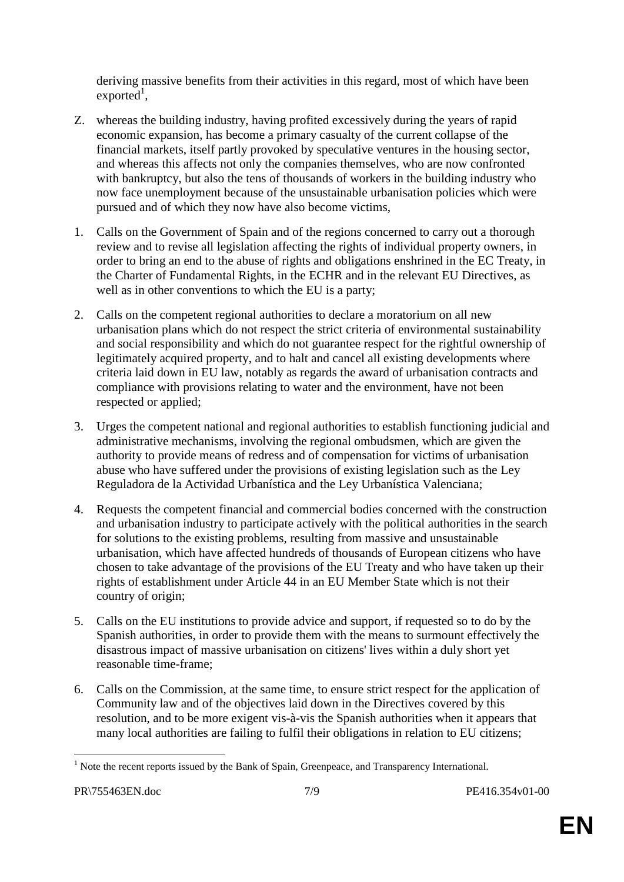deriving massive benefits from their activities in this regard, most of which have been  $exported<sup>1</sup>$ ,

- Z. whereas the building industry, having profited excessively during the years of rapid economic expansion, has become a primary casualty of the current collapse of the financial markets, itself partly provoked by speculative ventures in the housing sector, and whereas this affects not only the companies themselves, who are now confronted with bankruptcy, but also the tens of thousands of workers in the building industry who now face unemployment because of the unsustainable urbanisation policies which were pursued and of which they now have also become victims,
- 1. Calls on the Government of Spain and of the regions concerned to carry out a thorough review and to revise all legislation affecting the rights of individual property owners, in order to bring an end to the abuse of rights and obligations enshrined in the EC Treaty, in the Charter of Fundamental Rights, in the ECHR and in the relevant EU Directives, as well as in other conventions to which the EU is a party;
- 2. Calls on the competent regional authorities to declare a moratorium on all new urbanisation plans which do not respect the strict criteria of environmental sustainability and social responsibility and which do not guarantee respect for the rightful ownership of legitimately acquired property, and to halt and cancel all existing developments where criteria laid down in EU law, notably as regards the award of urbanisation contracts and compliance with provisions relating to water and the environment, have not been respected or applied;
- 3. Urges the competent national and regional authorities to establish functioning judicial and administrative mechanisms, involving the regional ombudsmen, which are given the authority to provide means of redress and of compensation for victims of urbanisation abuse who have suffered under the provisions of existing legislation such as the Ley Reguladora de la Actividad Urbanística and the Ley Urbanística Valenciana;
- 4. Requests the competent financial and commercial bodies concerned with the construction and urbanisation industry to participate actively with the political authorities in the search for solutions to the existing problems, resulting from massive and unsustainable urbanisation, which have affected hundreds of thousands of European citizens who have chosen to take advantage of the provisions of the EU Treaty and who have taken up their rights of establishment under Article 44 in an EU Member State which is not their country of origin;
- 5. Calls on the EU institutions to provide advice and support, if requested so to do by the Spanish authorities, in order to provide them with the means to surmount effectively the disastrous impact of massive urbanisation on citizens' lives within a duly short yet reasonable time-frame;
- 6. Calls on the Commission, at the same time, to ensure strict respect for the application of Community law and of the objectives laid down in the Directives covered by this resolution, and to be more exigent vis-à-vis the Spanish authorities when it appears that many local authorities are failing to fulfil their obligations in relation to EU citizens;

<sup>1</sup>  $<sup>1</sup>$  Note the recent reports issued by the Bank of Spain, Greenpeace, and Transparency International.</sup>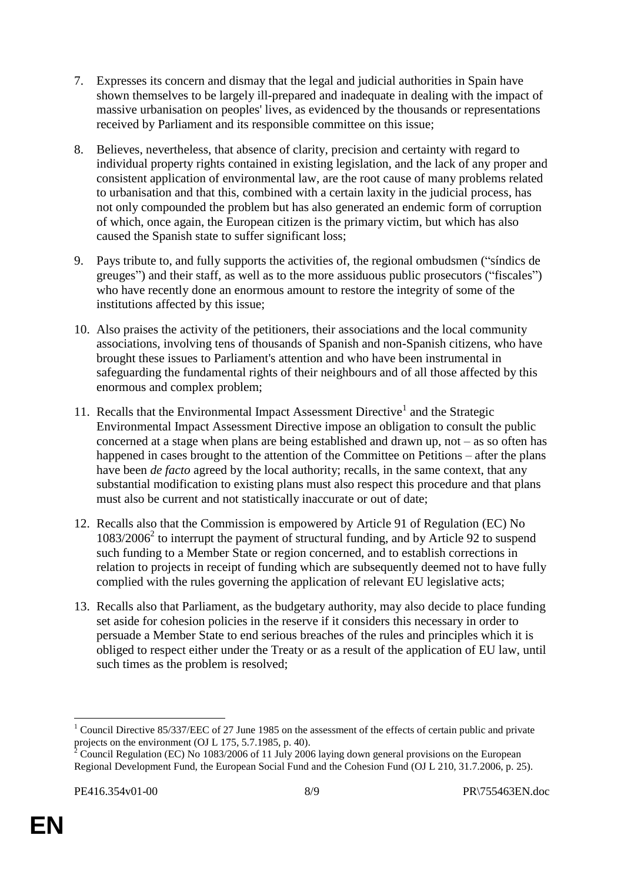- 7. Expresses its concern and dismay that the legal and judicial authorities in Spain have shown themselves to be largely ill-prepared and inadequate in dealing with the impact of massive urbanisation on peoples' lives, as evidenced by the thousands or representations received by Parliament and its responsible committee on this issue;
- 8. Believes, nevertheless, that absence of clarity, precision and certainty with regard to individual property rights contained in existing legislation, and the lack of any proper and consistent application of environmental law, are the root cause of many problems related to urbanisation and that this, combined with a certain laxity in the judicial process, has not only compounded the problem but has also generated an endemic form of corruption of which, once again, the European citizen is the primary victim, but which has also caused the Spanish state to suffer significant loss;
- 9. Pays tribute to, and fully supports the activities of, the regional ombudsmen ("síndics de greuges") and their staff, as well as to the more assiduous public prosecutors ("fiscales") who have recently done an enormous amount to restore the integrity of some of the institutions affected by this issue;
- 10. Also praises the activity of the petitioners, their associations and the local community associations, involving tens of thousands of Spanish and non-Spanish citizens, who have brought these issues to Parliament's attention and who have been instrumental in safeguarding the fundamental rights of their neighbours and of all those affected by this enormous and complex problem;
- 11. Recalls that the Environmental Impact Assessment Directive<sup>1</sup> and the Strategic Environmental Impact Assessment Directive impose an obligation to consult the public concerned at a stage when plans are being established and drawn up, not – as so often has happened in cases brought to the attention of the Committee on Petitions – after the plans have been *de facto* agreed by the local authority; recalls, in the same context, that any substantial modification to existing plans must also respect this procedure and that plans must also be current and not statistically inaccurate or out of date;
- 12. Recalls also that the Commission is empowered by Article 91 of Regulation (EC) No  $1083/2006<sup>2</sup>$  to interrupt the payment of structural funding, and by Article 92 to suspend such funding to a Member State or region concerned, and to establish corrections in relation to projects in receipt of funding which are subsequently deemed not to have fully complied with the rules governing the application of relevant EU legislative acts;
- 13. Recalls also that Parliament, as the budgetary authority, may also decide to place funding set aside for cohesion policies in the reserve if it considers this necessary in order to persuade a Member State to end serious breaches of the rules and principles which it is obliged to respect either under the Treaty or as a result of the application of EU law, until such times as the problem is resolved;

<sup>1</sup> <sup>1</sup> Council Directive 85/337/EEC of 27 June 1985 on the assessment of the effects of certain public and private projects on the environment (OJ L 175, 5.7.1985, p. 40).

<sup>2</sup> Council Regulation (EC) No 1083/2006 of 11 July 2006 laying down general provisions on the European Regional Development Fund, the European Social Fund and the Cohesion Fund (OJ L 210, 31.7.2006, p. 25).